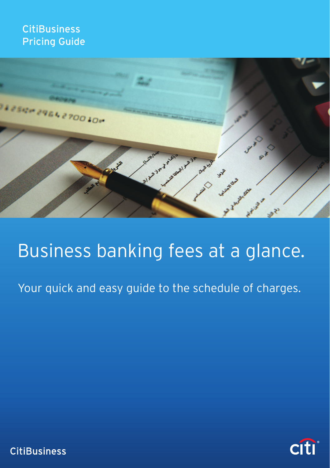# **CitiBusiness** Pricing Guide



# Business banking fees at a glance.

Your quick and easy guide to the schedule of charges.



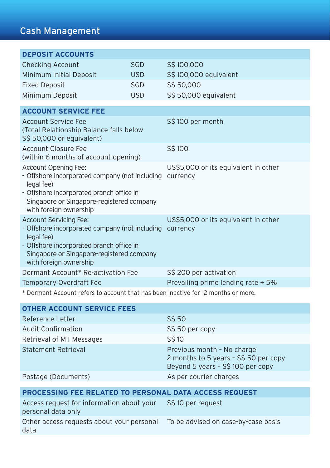| <b>DEPOSIT ACCOUNTS</b>                                                                                                                                                                                          |            |                                                  |
|------------------------------------------------------------------------------------------------------------------------------------------------------------------------------------------------------------------|------------|--------------------------------------------------|
| <b>Checking Account</b>                                                                                                                                                                                          | <b>SGD</b> | S\$100,000                                       |
| Minimum Initial Deposit                                                                                                                                                                                          | <b>USD</b> | S\$ 100,000 equivalent                           |
| <b>Fixed Deposit</b>                                                                                                                                                                                             | <b>SGD</b> | S\$ 50,000                                       |
| Minimum Deposit                                                                                                                                                                                                  | <b>USD</b> | S\$ 50,000 equivalent                            |
| <b>ACCOUNT SERVICE FEE</b>                                                                                                                                                                                       |            |                                                  |
|                                                                                                                                                                                                                  |            |                                                  |
| Account Service Fee<br>(Total Relationship Balance falls below<br>S\$ 50,000 or equivalent)                                                                                                                      |            | S\$100 per month                                 |
| Account Closure Fee<br>(within 6 months of account opening)                                                                                                                                                      |            | S\$100                                           |
| Account Opening Fee:<br>- Offshore incorporated company (not including<br>legal fee)<br>- Offshore incorporated branch office in<br>Singapore or Singapore-registered company<br>with foreign ownership          |            | US\$5,000 or its equivalent in other<br>currency |
| <b>Account Servicing Fee:</b><br>- Offshore incorporated company (not including<br>legal fee)<br>- Offshore incorporated branch office in<br>Singapore or Singapore-registered company<br>with foreign ownership |            | US\$5,000 or its equivalent in other<br>currency |
| Dormant Account* Re-activation Fee                                                                                                                                                                               |            | S\$ 200 per activation                           |
| Temporary Overdraft Fee                                                                                                                                                                                          |            | Prevailing prime lending rate + 5%               |
|                                                                                                                                                                                                                  |            |                                                  |

\* Dormant Account refers to account that has been inactive for 12 months or more.

| <b>OTHER ACCOUNT SERVICE FEES</b> |                                                                                                          |
|-----------------------------------|----------------------------------------------------------------------------------------------------------|
| Reference Letter                  | S\$ 50                                                                                                   |
| <b>Audit Confirmation</b>         | S\$ 50 per copy                                                                                          |
| Retrieval of MT Messages          | S\$10                                                                                                    |
| <b>Statement Retrieval</b>        | Previous month - No charge<br>2 months to 5 years - S\$ 50 per copy<br>Beyond 5 years - S\$ 100 per copy |
| Postage (Documents)               | As per courier charges                                                                                   |
|                                   |                                                                                                          |
|                                   |                                                                                                          |

| PROCESSING FEE RELATED TO PERSONAL DATA ACCESS REQUEST          |                                     |  |
|-----------------------------------------------------------------|-------------------------------------|--|
| Access request for information about your<br>personal data only | S\$10 per request                   |  |
| Other access requests about your personal<br>data               | To be advised on case-by-case basis |  |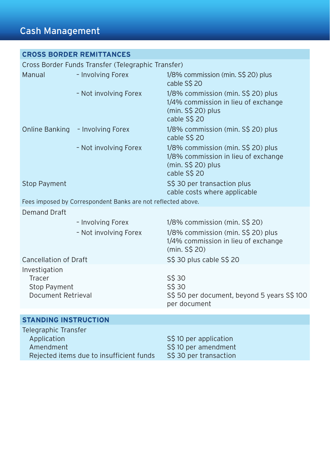### **CROSS BORDER REMITTANCES**

Cross Border Funds Transfer (Telegraphic Transfer) Manual – Involving Forex 1/8% commission (min. S\$ 20) plus cable S\$ 20 – Not involving Forex 1/8% commission (min. S\$ 20) plus 1/4% commission in lieu of exchange (min. S\$ 20) plus cable S\$ 20 Online Banking – Involving Forex 1/8% commission (min. S\$ 20) plus cable S\$ 20 – Not involving Forex 1/8% commission (min. S\$ 20) plus 1/8% commission in lieu of exchange (min. S\$ 20) plus cable S\$ 20 Stop Payment Stop Payment Stop Payment Stop Payment Stop Payment Stop Payment Stop Payment Stop Payment Stop Payment Stop Payment Stop Payment Stop Payment Stop Payment Stop Payment Stop Payment Stop Payment Stop Payment S cable costs where applicable Fees imposed by Correspondent Banks are not reflected above. Demand Draft – Involving Forex 1/8% commission (min. S\$ 20) – Not involving Forex 1/8% commission (min. S\$ 20) plus 1/4% commission in lieu of exchange (min. S\$ 20) Cancellation of Draft S\$ 30 plus cable S\$ 20 Investigation **Tracer**  Stop Payment Document Retrieval S\$ 30 S\$ 30 S\$ 50 per document, beyond 5 years S\$ 100 per document **STANDING INSTRUCTION**

| Telegraphic Transfer                     |                        |
|------------------------------------------|------------------------|
| Application                              | S\$10 per application  |
| Amendment                                | S\$10 per amendment    |
| Rejected items due to insufficient funds | S\$ 30 per transaction |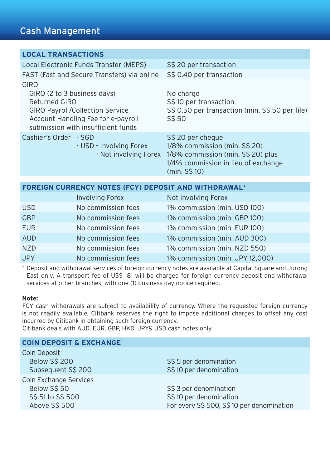### **LOCAL TRANSACTIONS**

| Local Electronic Funds Transfer (MEPS)                                                                                                                                     | S\$ 20 per transaction                                                                                                                            |
|----------------------------------------------------------------------------------------------------------------------------------------------------------------------------|---------------------------------------------------------------------------------------------------------------------------------------------------|
| FAST (Fast and Secure Transfers) via online                                                                                                                                | S\$ 0.40 per transaction                                                                                                                          |
| GIRO<br>GIRO (2 to 3 business days)<br>Returned GIRO<br><b>GIRO Payroll/Collection Service</b><br>Account Handling Fee for e-payroll<br>submission with insufficient funds | No charge<br>S\$10 per transaction<br>S\$ 0.50 per transaction (min. S\$ 50 per file)<br>S\$ 50                                                   |
| Cashier's Order - SGD<br>- USD - Involving Forex<br>- Not involving Forex                                                                                                  | S\$ 20 per cheque<br>1/8% commission (min. S\$ 20)<br>1/8% commission (min. S\$ 20) plus<br>1/4% commission in lieu of exchange<br>$(min. S\$ 10) |

| FOREIGN CURRENCY NOTES (FCY) DEPOSIT AND WITHDRAWAL <sup>+</sup> |                        |                                 |
|------------------------------------------------------------------|------------------------|---------------------------------|
|                                                                  | <b>Involving Forex</b> | Not involving Forex             |
| <b>USD</b>                                                       | No commission fees     | 1% commission (min. USD 100)    |
| <b>GBP</b>                                                       | No commission fees     | 1% commission (min. GBP 100)    |
| <b>EUR</b>                                                       | No commission fees     | 1% commission (min. EUR 100)    |
| <b>AUD</b>                                                       | No commission fees     | 1% commission (min. AUD 300)    |
| <b>NZD</b>                                                       | No commission fees     | 1% commission (min. NZD 550)    |
| <b>JPY</b>                                                       | No commission fees     | 1% commission (min. JPY 12,000) |

+ Deposit and withdrawal services of foreign currency notes are available at Capital Square and Jurong East only. A transport fee of US\$ 181 will be charged for foreign currency deposit and withdrawal services at other branches, with one (1) business day notice required.

#### **Note:**

FCY cash withdrawals are subject to availability of currency. Where the requested foreign currency is not readily available, Citibank reserves the right to impose additional charges to offset any cost incurred by Citibank in obtaining such foreign currency.

Citibank deals with AUD, EUR, GBP, HKD, JPY& USD cash notes only.

### **COIN DEPOSIT & EXCHANGE**

| S\$ 5 per denomination                     |
|--------------------------------------------|
| S\$10 per denomination                     |
|                                            |
| S\$ 3 per denomination                     |
| S\$10 per denomination                     |
| For every S\$ 500, S\$ 10 per denomination |
|                                            |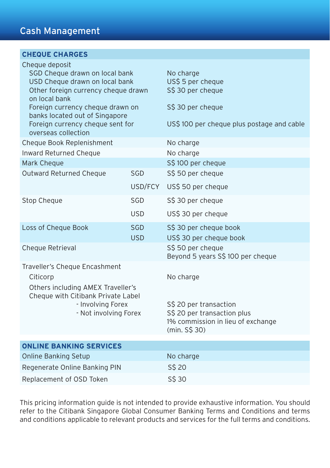| <b>CHEQUE CHARGES</b>                                                                                                                                                                                                                                                       |                          |                                                                                                                          |
|-----------------------------------------------------------------------------------------------------------------------------------------------------------------------------------------------------------------------------------------------------------------------------|--------------------------|--------------------------------------------------------------------------------------------------------------------------|
| Cheque deposit<br>SGD Cheque drawn on local bank<br>USD Cheque drawn on local bank<br>Other foreign currency cheque drawn<br>on local bank<br>Foreign currency cheque drawn on<br>banks located out of Singapore<br>Foreign currency cheque sent for<br>overseas collection |                          | No charge<br>US\$ 5 per cheque<br>S\$ 30 per cheque<br>S\$ 30 per cheque<br>US\$ 100 per cheque plus postage and cable   |
| Cheque Book Replenishment                                                                                                                                                                                                                                                   |                          | No charge                                                                                                                |
| Inward Returned Cheque                                                                                                                                                                                                                                                      |                          | No charge                                                                                                                |
| Mark Cheque                                                                                                                                                                                                                                                                 |                          | S\$100 per cheque                                                                                                        |
| Outward Returned Cheque                                                                                                                                                                                                                                                     | SGD                      | S\$ 50 per cheque                                                                                                        |
|                                                                                                                                                                                                                                                                             | USD/FCY                  | US\$ 50 per cheque                                                                                                       |
| Stop Cheque                                                                                                                                                                                                                                                                 | SGD                      | S\$ 30 per cheque                                                                                                        |
|                                                                                                                                                                                                                                                                             | <b>USD</b>               | US\$ 30 per cheque                                                                                                       |
| Loss of Cheque Book                                                                                                                                                                                                                                                         | <b>SGD</b><br><b>USD</b> | S\$ 30 per cheque book<br>US\$ 30 per cheque book                                                                        |
| Cheque Retrieval                                                                                                                                                                                                                                                            |                          | S\$ 50 per cheque<br>Beyond 5 years S\$ 100 per cheque                                                                   |
| Traveller's Cheque Encashment<br>Citicorp<br>Others including AMEX Traveller's<br>Cheque with Citibank Private Label<br>- Involving Forex<br>- Not involving Forex                                                                                                          |                          | No charge<br>S\$ 20 per transaction<br>S\$ 20 per transaction plus<br>1% commission in lieu of exchange<br>(min. S\$ 30) |
|                                                                                                                                                                                                                                                                             |                          |                                                                                                                          |
| <b>ONLINE BANKING SERVICES</b>                                                                                                                                                                                                                                              |                          |                                                                                                                          |
| <b>Online Banking Setup</b>                                                                                                                                                                                                                                                 |                          | No charge                                                                                                                |
| Regenerate Online Banking PIN                                                                                                                                                                                                                                               |                          | S\$ 20                                                                                                                   |
| Replacement of OSD Token                                                                                                                                                                                                                                                    |                          | S\$ 30                                                                                                                   |

This pricing information guide is not intended to provide exhaustive information. You should refer to the Citibank Singapore Global Consumer Banking Terms and Conditions and terms and conditions applicable to relevant products and services for the full terms and conditions.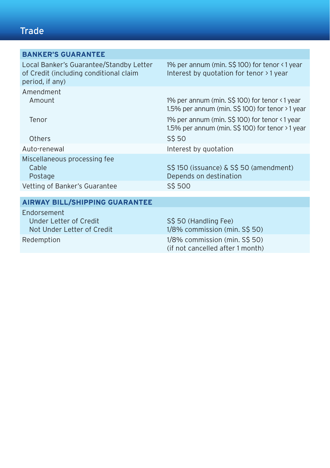# **Trade**

| <b>BANKER'S GUARANTEE</b>                                                                            |                                                                                                    |
|------------------------------------------------------------------------------------------------------|----------------------------------------------------------------------------------------------------|
| Local Banker's Guarantee/Standby Letter<br>of Credit (including conditional claim<br>period, if any) | 1% per annum (min. S\$ 100) for tenor <1 year<br>Interest by quotation for tenor > 1 year          |
| Amendment<br>Amount                                                                                  | 1% per annum (min. S\$ 100) for tenor <1 year<br>1.5% per annum (min. S\$ 100) for tenor > 1 year  |
| Tenor                                                                                                | 1% per annum (min. S\$ 100) for tenor <1 year<br>1.5% per annum (min. $S\$ 100) for tenor > 1 year |
| Others                                                                                               | S\$ 50                                                                                             |
| Auto-renewal                                                                                         | Interest by quotation                                                                              |
| Miscellaneous processing fee<br>Cable<br>Postage                                                     | S\$150 (issuance) & S\$50 (amendment)<br>Depends on destination                                    |
| Vetting of Banker's Guarantee                                                                        | S\$ 500                                                                                            |
|                                                                                                      |                                                                                                    |
| <b>AIRWAY BILL/SHIPPING GUARANTEE</b>                                                                |                                                                                                    |
| Endorsement<br>Under Letter of Credit<br>Not Under Letter of Credit                                  | S\$ 50 (Handling Fee)<br>1/8% commission (min. S\$ 50)                                             |
| Redemption                                                                                           | 1/8% commission (min. S\$ 50)<br>(if not cancelled after 1 month)                                  |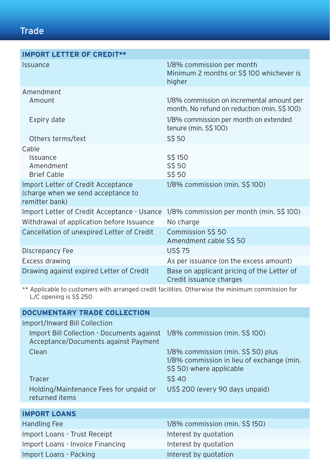# **Trade**

| <b>IMPORT LETTER OF CREDIT**</b>                                                           |                                                                                                                                                            |
|--------------------------------------------------------------------------------------------|------------------------------------------------------------------------------------------------------------------------------------------------------------|
| Issuance                                                                                   | 1/8% commission per month<br>Minimum 2 months or S\$100 whichever is<br>higher                                                                             |
| Amendment<br>Amount<br>Expiry date                                                         | 1/8% commission on incremental amount per<br>month. No refund on reduction (min. S\$100)<br>1/8% commission per month on extended<br>tenure (min. S\$ 100) |
| Others terms/text                                                                          | S\$ 50                                                                                                                                                     |
| Cable<br>Issuance<br>Amendment<br><b>Brief Cable</b><br>Import Letter of Credit Acceptance | S\$150<br>S\$ 50<br>S\$ 50<br>1/8% commission (min. S\$ 100)                                                                                               |
| (charge when we send acceptance to<br>remitter bank)                                       |                                                                                                                                                            |
| Import Letter of Credit Acceptance - Usance                                                | 1/8% commission per month (min. S\$ 100)                                                                                                                   |
| Withdrawal of application before Issuance                                                  | No charge                                                                                                                                                  |
| Cancellation of unexpired Letter of Credit                                                 | Commission S\$ 50<br>Amendment cable S\$ 50                                                                                                                |
| Discrepancy Fee                                                                            | <b>US\$75</b>                                                                                                                                              |
| Excess drawing                                                                             | As per issuance (on the excess amount)                                                                                                                     |
| Drawing against expired Letter of Credit                                                   | Base on applicant pricing of the Letter of<br>Credit issuance charges                                                                                      |

\*\* Applicable to customers with arranged credit facilities. Otherwise the minimum commission for L/C opening is S\$ 250

| <b>DOCUMENTARY TRADE COLLECTION</b>                                                |                                                                                                             |
|------------------------------------------------------------------------------------|-------------------------------------------------------------------------------------------------------------|
| Import/Inward Bill Collection                                                      |                                                                                                             |
| Import Bill Collection - Documents against<br>Acceptance/Documents against Payment | 1/8% commission (min. S\$ 100)                                                                              |
| Clean                                                                              | 1/8% commission (min. S\$ 50) plus<br>1/8% commission in lieu of exchange (min.<br>S\$ 50) where applicable |
| <b>Tracer</b>                                                                      | S\$40                                                                                                       |
| Holding/Maintenance Fees for unpaid or<br>returned items                           | US\$ 200 (every 90 days unpaid)                                                                             |
|                                                                                    |                                                                                                             |
| <b>IMPORT LOANS</b>                                                                |                                                                                                             |
| <b>Handling Fee</b>                                                                | 1/8% commission (min. S\$ 150)                                                                              |
| Import Loans - Trust Receipt                                                       | Interest by quotation                                                                                       |
| Import Loans - Invoice Financing                                                   | Interest by quotation                                                                                       |
| Import Loans - Packing                                                             |                                                                                                             |